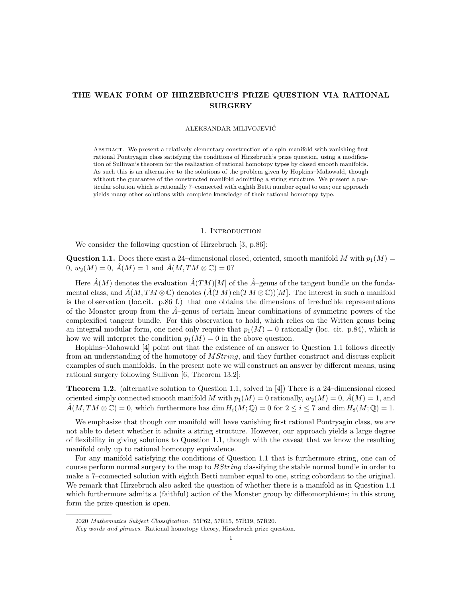# THE WEAK FORM OF HIRZEBRUCH'S PRIZE QUESTION VIA RATIONAL **SURGERY**

#### ALEKSANDAR MILIVOJEVIC´

Abstract. We present a relatively elementary construction of a spin manifold with vanishing first rational Pontryagin class satisfying the conditions of Hirzebruch's prize question, using a modification of Sullivan's theorem for the realization of rational homotopy types by closed smooth manifolds. As such this is an alternative to the solutions of the problem given by Hopkins–Mahowald, though without the guarantee of the constructed manifold admitting a string structure. We present a particular solution which is rationally 7–connected with eighth Betti number equal to one; our approach yields many other solutions with complete knowledge of their rational homotopy type.

## 1. INTRODUCTION

We consider the following question of Hirzebruch [3, p.86]:

**Question 1.1.** Does there exist a 24-dimensional closed, oriented, smooth manifold M with  $p_1(M)$  =  $0, w_2(M) = 0, \hat{A}(M) = 1$  and  $\hat{A}(M, TM \otimes \mathbb{C}) = 0$ ?

Here  $\hat{A}(M)$  denotes the evaluation  $\hat{A}(TM)[M]$  of the  $\hat{A}$ –genus of the tangent bundle on the fundamental class, and  $\hat{A}(M, TM \otimes \mathbb{C})$  denotes  $(\hat{A}(TM)$  ch $(TM \otimes \mathbb{C}))[M]$ . The interest in such a manifold is the observation (loc.cit. p.86 f.) that one obtains the dimensions of irreducible representations of the Monster group from the  $A$ –genus of certain linear combinations of symmetric powers of the complexified tangent bundle. For this observation to hold, which relies on the Witten genus being an integral modular form, one need only require that  $p_1(M) = 0$  rationally (loc. cit. p.84), which is how we will interpret the condition  $p_1(M) = 0$  in the above question.

Hopkins–Mahowald [4] point out that the existence of an answer to Question 1.1 follows directly from an understanding of the homotopy of *MString*, and they further construct and discuss explicit examples of such manifolds. In the present note we will construct an answer by different means, using rational surgery following Sullivan [6, Theorem 13.2]:

Theorem 1.2. (alternative solution to Question 1.1, solved in [4]) There is a 24–dimensional closed oriented simply connected smooth manifold M with  $p_1(M) = 0$  rationally,  $w_2(M) = 0$ ,  $\dot{A}(M) = 1$ , and  $\hat{A}(M, TM \otimes \mathbb{C}) = 0$ , which furthermore has dim  $H_i(M; \mathbb{Q}) = 0$  for  $2 \leq i \leq 7$  and dim  $H_8(M; \mathbb{Q}) = 1$ .

We emphasize that though our manifold will have vanishing first rational Pontryagin class, we are not able to detect whether it admits a string structure. However, our approach yields a large degree of flexibility in giving solutions to Question 1.1, though with the caveat that we know the resulting manifold only up to rational homotopy equivalence.

For any manifold satisfying the conditions of Question 1.1 that is furthermore string, one can of course perform normal surgery to the map to *BString* classifying the stable normal bundle in order to make a 7–connected solution with eighth Betti number equal to one, string cobordant to the original. We remark that Hirzebruch also asked the question of whether there is a manifold as in Question 1.1 which furthermore admits a (faithful) action of the Monster group by diffeomorphisms; in this strong form the prize question is open.

<sup>2020</sup> Mathematics Subject Classification. 55P62, 57R15, 57R19, 57R20.

Key words and phrases. Rational homotopy theory, Hirzebruch prize question.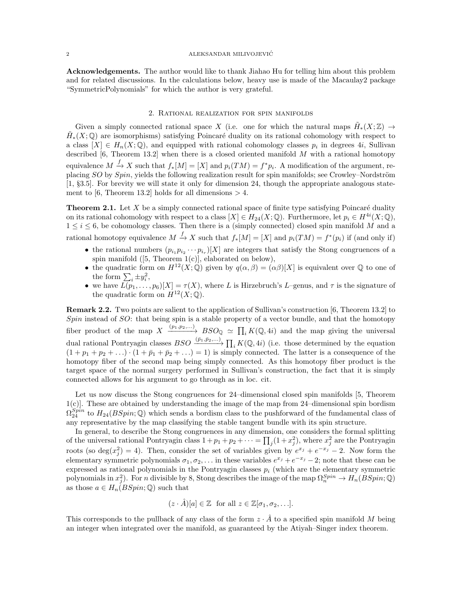Acknowledgements. The author would like to thank Jiahao Hu for telling him about this problem and for related discussions. In the calculations below, heavy use is made of the Macaulay2 package "SymmetricPolynomials" for which the author is very grateful.

#### 2. Rational realization for spin manifolds

Given a simply connected rational space X (i.e. one for which the natural maps  $\tilde{H}_*(X;\mathbb{Z}) \to$  $\tilde{H}_*(X;\mathbb{Q})$  are isomorphisms) satisfying Poincaré duality on its rational cohomology with respect to a class  $[X] \in H_n(X; \mathbb{Q})$ , and equipped with rational cohomology classes  $p_i$  in degrees 4*i*, Sullivan described  $[6,$  Theorem 13.2] when there is a closed oriented manifold M with a rational homotopy equivalence  $M \xrightarrow{f} X$  such that  $f_*[M] = [X]$  and  $p_i(TM) = f^*p_i$ . A modification of the argument, replacing  $SO$  by  $Spin$ , yields the following realization result for spin manifolds; see Crowley–Nordström [1, §3.5]. For brevity we will state it only for dimension 24, though the appropriate analogous statement to [6, Theorem 13.2] holds for all dimensions  $> 4$ .

**Theorem 2.1.** Let  $X$  be a simply connected rational space of finite type satisfying Poincaré duality on its rational cohomology with respect to a class  $[X] \in H_{24}(X; \mathbb{Q})$ . Furthermore, let  $p_i \in H^{4i}(X; \mathbb{Q})$ ,  $1 \leq i \leq 6$ , be cohomology classes. Then there is a (simply connected) closed spin manifold M and a rational homotopy equivalence  $M \xrightarrow{f} X$  such that  $f_*[M] = [X]$  and  $p_i(TM) = f^*(p_i)$  if (and only if)

- the rational numbers  $(p_{i_1} p_{i_2} \cdots p_{i_r})[X]$  are integers that satisfy the Stong congruences of a spin manifold  $([5, Theorem 1(c)],$  elaborated on below),
- the quadratic form on  $H^{12}(X;\mathbb{Q})$  given by  $q(\alpha,\beta) = (\alpha\beta)[X]$  is equivalent over  $\mathbb Q$  to one of the form  $\sum_i \pm y_i^2$ ,
- we have  $\overline{L(p_1,\ldots,p_6)}[X] = \tau(X)$ , where L is Hirzebruch's L–genus, and  $\tau$  is the signature of the quadratic form on  $H^{12}(X; \mathbb{Q})$ .

Remark 2.2. Two points are salient to the application of Sullivan's construction [6, Theorem 13.2] to  $Spin$  instead of  $SO$ : that being spin is a stable property of a vector bundle, and that the homotopy fiber product of the map  $X \xrightarrow{(p_1,p_2,...)} BSO_{\mathbb{Q}} \simeq \prod_i K(\mathbb{Q}, 4i)$  and the map giving the universal dual rational Pontryagin classes  $BSO \xrightarrow{(\bar{p}_1,\bar{p}_2,\ldots)} \prod_i K(Q, 4i)$  (i.e. those determined by the equation  $(1+p_1+p_2+\ldots)\cdot(1+\bar{p}_1+\bar{p}_2+\ldots)=1$ ) is simply connected. The latter is a consequence of the homotopy fiber of the second map being simply connected. As this homotopy fiber product is the target space of the normal surgery performed in Sullivan's construction, the fact that it is simply connected allows for his argument to go through as in loc. cit.

Let us now discuss the Stong congruences for 24–dimensional closed spin manifolds [5, Theorem 1(c)]. These are obtained by understanding the image of the map from 24–dimensional spin bordism  $\Omega_{24}^{Spin}$  to  $H_{24}(BSpin;\mathbb{Q})$  which sends a bordism class to the pushforward of the fundamental class of any representative by the map classifying the stable tangent bundle with its spin structure.

In general, to describe the Stong congruences in any dimension, one considers the formal splitting of the universal rational Pontryagin class  $1+p_1+p_2+\cdots = \prod_j (1+x_j^2)$ , where  $x_j^2$  are the Pontryagin roots (so  $deg(x_j^2) = 4$ ). Then, consider the set of variables given by  $e^{x_j} + e^{-x_j} - 2$ . Now form the elementary symmetric polynomials  $\sigma_1, \sigma_2, \ldots$  in these variables  $e^{x_j} + e^{-x_j} - 2$ ; note that these can be expressed as rational polynomials in the Pontryagin classes  $p_i$  (which are the elementary symmetric polynomials in  $x_j^2$ ). For n divisible by 8, Stong describes the image of the map  $\Omega_n^{Spin} \to H_n(BSpin;\mathbb{Q})$ as those  $a \in H_n(BSpin;\mathbb{Q})$  such that

$$
(z \cdot \hat{A})[a] \in \mathbb{Z}
$$
 for all  $z \in \mathbb{Z}[\sigma_1, \sigma_2, \ldots].$ 

This corresponds to the pullback of any class of the form  $z \cdot \hat{A}$  to a specified spin manifold M being an integer when integrated over the manifold, as guaranteed by the Atiyah–Singer index theorem.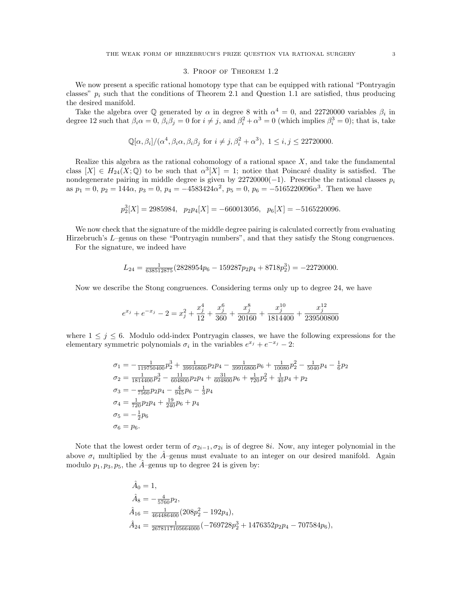# 3. Proof of Theorem 1.2

We now present a specific rational homotopy type that can be equipped with rational "Pontryagin classes"  $p_i$  such that the conditions of Theorem 2.1 and Question 1.1 are satisfied, thus producing the desired manifold.

Take the algebra over  $\mathbb Q$  generated by  $\alpha$  in degree 8 with  $\alpha^4 = 0$ , and 22720000 variables  $\beta_i$  in degree 12 such that  $\beta_i \alpha = 0$ ,  $\beta_i \beta_j = 0$  for  $i \neq j$ , and  $\beta_i^2 + \alpha^3 = 0$  (which implies  $\beta_i^3 = 0$ ); that is, take

$$
\mathbb{Q}[\alpha,\beta_i]/(\alpha^4,\beta_i\alpha,\beta_i\beta_j \text{ for } i \neq j, \beta_i^2 + \alpha^3), 1 \leq i,j \leq 22720000.
$$

Realize this algebra as the rational cohomology of a rational space  $X$ , and take the fundamental class  $[X] \in H_{24}(X; \mathbb{Q})$  to be such that  $\alpha^3[X] = 1$ ; notice that Poincaré duality is satisfied. The nondegenerate pairing in middle degree is given by  $22720000(-1)$ . Prescribe the rational classes  $p_i$ as  $p_1 = 0$ ,  $p_2 = 144\alpha$ ,  $p_3 = 0$ ,  $p_4 = -4583424\alpha^2$ ,  $p_5 = 0$ ,  $p_6 = -5165220096\alpha^3$ . Then we have

$$
p_2^3[X]=2985984,\;\;p_2p_4[X]=-660013056,\;\;p_6[X]=-5165220096.
$$

We now check that the signature of the middle degree pairing is calculated correctly from evaluating Hirzebruch's L–genus on these "Pontryagin numbers", and that they satisfy the Stong congruences.

For the signature, we indeed have

$$
L_{24} = \frac{1}{638512875} (2828954p_6 - 159287p_2p_4 + 8718p_2^3) = -22720000.
$$

Now we describe the Stong congruences. Considering terms only up to degree 24, we have

$$
e^{x_j} + e^{-x_j} - 2 = x_j^2 + \frac{x_j^4}{12} + \frac{x_j^6}{360} + \frac{x_j^8}{20160} + \frac{x_j^{10}}{1814400} + \frac{x_j^{12}}{239500800}
$$

where  $1 \leq j \leq 6$ . Modulo odd-index Pontryagin classes, we have the following expressions for the elementary symmetric polynomials  $\sigma_i$  in the variables  $e^{x_j} + e^{-x_j} - 2$ :

$$
\sigma_1 = -\frac{1}{119750400} p_2^3 + \frac{1}{39916800} p_2 p_4 - \frac{1}{39916800} p_6 + \frac{1}{10080} p_2^2 - \frac{1}{5040} p_4 - \frac{1}{6} p_2
$$
  
\n
$$
\sigma_2 = \frac{1}{1814400} p_2^3 - \frac{11}{604800} p_2 p_4 + \frac{31}{604800} p_6 + \frac{1}{720} p_2^2 + \frac{1}{40} p_4 + p_2
$$
  
\n
$$
\sigma_3 = -\frac{1}{7560} p_2 p_4 - \frac{4}{945} p_6 - \frac{1}{3} p_4
$$
  
\n
$$
\sigma_4 = \frac{1}{720} p_2 p_4 + \frac{19}{240} p_6 + p_4
$$
  
\n
$$
\sigma_5 = -\frac{1}{2} p_6
$$
  
\n
$$
\sigma_6 = p_6.
$$

Note that the lowest order term of  $\sigma_{2i-1}, \sigma_{2i}$  is of degree 8*i*. Now, any integer polynomial in the above  $\sigma_i$  multiplied by the  $\hat{A}$ –genus must evaluate to an integer on our desired manifold. Again modulo  $p_1, p_3, p_5$ , the  $\overline{A}$ –genus up to degree 24 is given by:

$$
\begin{aligned}\n\hat{A}_0 &= 1, \\
\hat{A}_8 &= -\frac{4}{5760}p_2, \\
\hat{A}_{16} &= \frac{4}{464486400}(208p_2^2 - 192p_4), \\
\hat{A}_{24} &= \frac{1}{2678117105664000}(-769728p_2^3 + 1476352p_2p_4 - 707584p_6),\n\end{aligned}
$$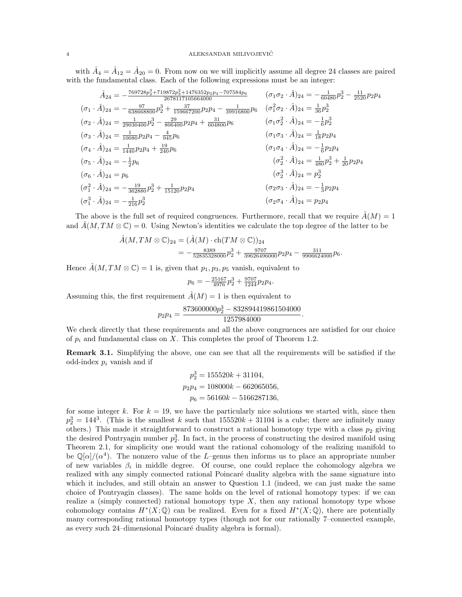with  $\hat{A}_4 = \hat{A}_{12} = \hat{A}_{20} = 0$ . From now on we will implicitly assume all degree 24 classes are paired with the fundamental class. Each of the following expressions must be an integer:

$$
\hat{A}_{24} = -\frac{769728p_2^3 + 719872p_3^2 + 1476352p_2p_4 - 707584p_6}{2678117105664000} \qquad (\sigma_1 \sigma_2 \cdot \hat{A})_{24} = -\frac{1}{60480}p_2^3 - \frac{11}{2520}p_2p_4
$$
\n
$$
(\sigma_1 \cdot \hat{A})_{24} = -\frac{97}{638668800}p_2^3 + \frac{37}{159667200}p_2p_4 - \frac{1}{39916800}p_6 \qquad (\sigma_1^2 \sigma_2 \cdot \hat{A})_{24} = \frac{1}{36}p_2^3
$$
\n
$$
(\sigma_2 \cdot \hat{A})_{24} = \frac{1}{29030400}p_2^3 - \frac{29}{806400}p_2p_4 + \frac{31}{604800}p_6 \qquad (\sigma_1 \sigma_2^2 \cdot \hat{A})_{24} = -\frac{1}{6}p_2^3
$$
\n
$$
(\sigma_3 \cdot \hat{A})_{24} = \frac{1}{10080}p_2p_4 - \frac{4}{945}p_6 \qquad (\sigma_1 \sigma_3 \cdot \hat{A})_{24} = \frac{1}{18}p_2p_4
$$
\n
$$
(\sigma_5 \cdot \hat{A})_{24} = -\frac{1}{2}p_6 \qquad (\sigma_6^2 \cdot \hat{A})_{24} = \frac{1}{480}p_2^3 + \frac{1}{20}p_2p_4
$$
\n
$$
(\sigma_6 \cdot \hat{A})_{24} = p_6 \qquad (\sigma_6^2 \cdot \hat{A})_{24} = p_2^3
$$
\n
$$
(\sigma_1^2 \cdot \hat{A})_{24} = -\frac{19}{362880}p_2^3 + \frac{1}{15120}p_2p_4 \qquad (\sigma_2 \sigma_3 \cdot \hat{A})_{24} = -\frac{1}{3}p_2p_4
$$
\n
$$
(\sigma_1^3 \cdot \hat{A})_{24} = -\frac{19}{21
$$

The above is the full set of required congruences. Furthermore, recall that we require  $\hat{A}(M) = 1$ and  $\tilde{A}(M, TM \otimes \mathbb{C}) = 0$ . Using Newton's identities we calculate the top degree of the latter to be

$$
\hat{A}(M,TM \otimes \mathbb{C})_{24} = (\hat{A}(M) \cdot \text{ch}(TM \otimes \mathbb{C}))_{24} \n= -\frac{8389}{52835328000} p_2^3 + \frac{9707}{39626496000} p_2 p_4 - \frac{311}{9906624000} p_6.
$$

Hence  $\hat{A}(M, TM \otimes \mathbb{C}) = 1$  is, given that  $p_1, p_3, p_5$  vanish, equivalent to

$$
p_6 = -\frac{25167}{4976}p_2^3 + \frac{9707}{1244}p_2p_4.
$$

Assuming this, the first requirement  $\hat{A}(M) = 1$  is then equivalent to

$$
p_2p_4=\frac{873600000p_2^3-832894419861504000}{1257984000}.
$$

We check directly that these requirements and all the above congruences are satisfied for our choice of  $p_i$  and fundamental class on X. This completes the proof of Theorem 1.2.

Remark 3.1. Simplifying the above, one can see that all the requirements will be satisfied if the odd-index  $p_i$  vanish and if

$$
p_2^3 = 155520k + 31104,
$$
  
\n
$$
p_2p_4 = 108000k - 662065056,
$$
  
\n
$$
p_6 = 56160k - 5166287136,
$$

for some integer k. For  $k = 19$ , we have the particularly nice solutions we started with, since then  $p_2^3 = 144^3$ . (This is the smallest k such that  $155520k + 31104$  is a cube; there are infinitely many others.) This made it straightforward to construct a rational homotopy type with a class  $p_2$  giving the desired Pontryagin number  $p_2^3$ . In fact, in the process of constructing the desired manifold using Theorem 2.1, for simplicity one would want the rational cohomology of the realizing manifold to be  $\mathbb{Q}[\alpha]/(\alpha^4)$ . The nonzero value of the L–genus then informs us to place an appropriate number of new variables  $\beta_i$  in middle degree. Of course, one could replace the cohomology algebra we realized with any simply connected rational Poincaré duality algebra with the same signature into which it includes, and still obtain an answer to Question 1.1 (indeed, we can just make the same choice of Pontryagin classes). The same holds on the level of rational homotopy types: if we can realize a (simply connected) rational homotopy type  $X$ , then any rational homotopy type whose cohomology contains  $H^*(X; \mathbb{Q})$  can be realized. Even for a fixed  $H^*(X; \mathbb{Q})$ , there are potentially many corresponding rational homotopy types (though not for our rationally 7–connected example, as every such 24–dimensional Poincaré duality algebra is formal).